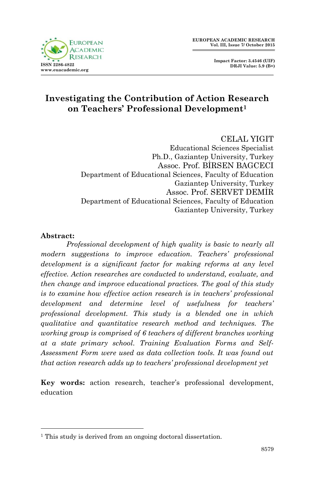



# **Investigating the Contribution of Action Research on Teachers' Professional Development<sup>1</sup>**

## CELAL YIGIT

Educational Sciences Specialist Ph.D., Gaziantep University, Turkey Assoc. Prof. BİRSEN BAGCECI Department of Educational Sciences, Faculty of Education Gaziantep University, Turkey Assoc. Prof. SERVET DEMİR Department of Educational Sciences, Faculty of Education Gaziantep University, Turkey

#### **Abstract:**

1

*Professional development of high quality is basic to nearly all modern suggestions to improve education. Teachers' professional development is a significant factor for making reforms at any level effective. Action researches are conducted to understand, evaluate, and then change and improve educational practices. The goal of this study is to examine how effective action research is in teachers' professional development and determine level of usefulness for teachers' professional development. This study is a blended one in which qualitative and quantitative research method and techniques. The working group is comprised of 6 teachers of different branches working at a state primary school. Training Evaluation Forms and Self-Assessment Form were used as data collection tools. It was found out that action research adds up to teachers' professional development yet*

**Key words:** action research, teacher's professional development, education

<sup>&</sup>lt;sup>1</sup> This study is derived from an ongoing doctoral dissertation.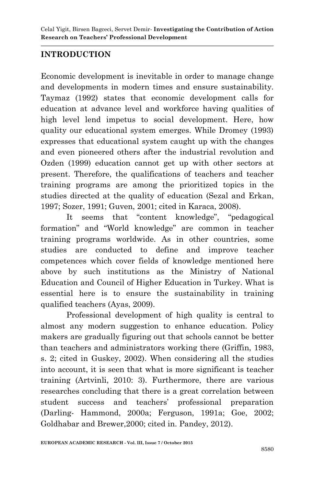# **INTRODUCTION**

Economic development is inevitable in order to manage change and developments in modern times and ensure sustainability. Taymaz (1992) states that economic development calls for education at advance level and workforce having qualities of high level lend impetus to social development. Here, how quality our educational system emerges. While Dromey (1993) expresses that educational system caught up with the changes and even pioneered others after the industrial revolution and Ozden (1999) education cannot get up with other sectors at present. Therefore, the qualifications of teachers and teacher training programs are among the prioritized topics in the studies directed at the quality of education (Sezal and Erkan, 1997; Sozer, 1991; Guven, 2001; cited in Karaca, 2008).

It seems that "content knowledge", "pedagogical formation" and "World knowledge" are common in teacher training programs worldwide. As in other countries, some studies are conducted to define and improve teacher competences which cover fields of knowledge mentioned here above by such institutions as the Ministry of National Education and Council of Higher Education in Turkey. What is essential here is to ensure the sustainability in training qualified teachers (Ayas, 2009).

Professional development of high quality is central to almost any modern suggestion to enhance education. Policy makers are gradually figuring out that schools cannot be better than teachers and administrators working there (Griffin, 1983, s. 2; cited in Guskey, 2002). When considering all the studies into account, it is seen that what is more significant is teacher training (Artvinli, 2010: 3). Furthermore, there are various researches concluding that there is a great correlation between student success and teachers' professional preparation (Darling- Hammond, 2000a; Ferguson, 1991a; Goe, 2002; Goldhabar and Brewer,2000; cited in. Pandey, 2012).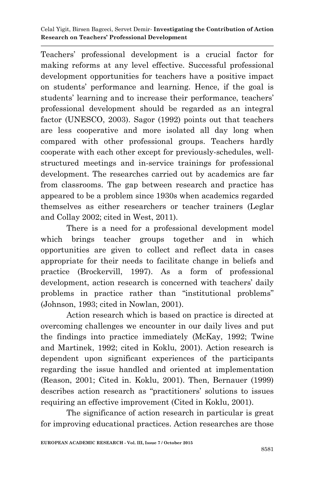Teachers' professional development is a crucial factor for making reforms at any level effective. Successful professional development opportunities for teachers have a positive impact on students' performance and learning. Hence, if the goal is students' learning and to increase their performance, teachers' professional development should be regarded as an integral factor (UNESCO, 2003). Sagor (1992) points out that teachers are less cooperative and more isolated all day long when compared with other professional groups. Teachers hardly cooperate with each other except for previously-schedules, wellstructured meetings and in-service trainings for professional development. The researches carried out by academics are far from classrooms. The gap between research and practice has appeared to be a problem since 1930s when academics regarded themselves as either researchers or teacher trainers (Leglar and Collay 2002; cited in West, 2011).

There is a need for a professional development model which brings teacher groups together and in which opportunities are given to collect and reflect data in cases appropriate for their needs to facilitate change in beliefs and practice (Brockervill, 1997). As a form of professional development, action research is concerned with teachers' daily problems in practice rather than "institutional problems" (Johnson, 1993; cited in Nowlan, 2001).

Action research which is based on practice is directed at overcoming challenges we encounter in our daily lives and put the findings into practice immediately (McKay, 1992; Twine and Martinek, 1992; cited in Koklu, 2001). Action research is dependent upon significant experiences of the participants regarding the issue handled and oriented at implementation (Reason, 2001; Cited in. Koklu, 2001). Then, Bernauer (1999) describes action research as "practitioners' solutions to issues requiring an effective improvement (Cited in Koklu, 2001).

The significance of action research in particular is great for improving educational practices. Action researches are those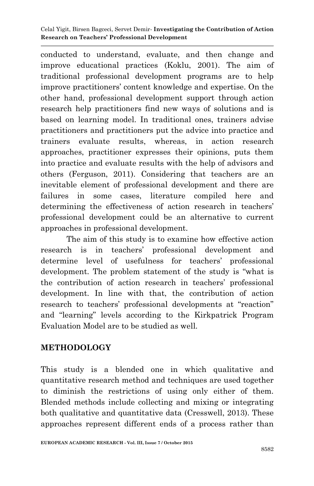conducted to understand, evaluate, and then change and improve educational practices (Koklu, 2001). The aim of traditional professional development programs are to help improve practitioners' content knowledge and expertise. On the other hand, professional development support through action research help practitioners find new ways of solutions and is based on learning model. In traditional ones, trainers advise practitioners and practitioners put the advice into practice and trainers evaluate results, whereas, in action research approaches, practitioner expresses their opinions, puts them into practice and evaluate results with the help of advisors and others (Ferguson, 2011). Considering that teachers are an inevitable element of professional development and there are failures in some cases, literature compiled here and determining the effectiveness of action research in teachers' professional development could be an alternative to current approaches in professional development.

The aim of this study is to examine how effective action research is in teachers' professional development and determine level of usefulness for teachers' professional development. The problem statement of the study is "what is the contribution of action research in teachers' professional development. In line with that, the contribution of action research to teachers' professional developments at "reaction" and "learning" levels according to the Kirkpatrick Program Evaluation Model are to be studied as well.

# **METHODOLOGY**

This study is a blended one in which qualitative and quantitative research method and techniques are used together to diminish the restrictions of using only either of them. Blended methods include collecting and mixing or integrating both qualitative and quantitative data (Cresswell, 2013). These approaches represent different ends of a process rather than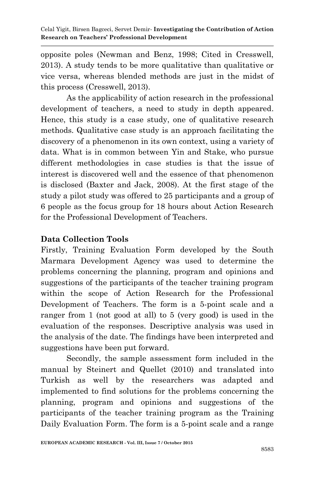opposite poles (Newman and Benz, 1998; Cited in Cresswell, 2013). A study tends to be more qualitative than qualitative or vice versa, whereas blended methods are just in the midst of this process (Cresswell, 2013).

As the applicability of action research in the professional development of teachers, a need to study in depth appeared. Hence, this study is a case study, one of qualitative research methods. Qualitative case study is an approach facilitating the discovery of a phenomenon in its own context, using a variety of data. What is in common between Yin and Stake, who pursue different methodologies in case studies is that the issue of interest is discovered well and the essence of that phenomenon is disclosed (Baxter and Jack, 2008). At the first stage of the study a pilot study was offered to 25 participants and a group of 6 people as the focus group for 18 hours about Action Research for the Professional Development of Teachers.

# **Data Collection Tools**

Firstly, Training Evaluation Form developed by the South Marmara Development Agency was used to determine the problems concerning the planning, program and opinions and suggestions of the participants of the teacher training program within the scope of Action Research for the Professional Development of Teachers. The form is a 5-point scale and a ranger from 1 (not good at all) to 5 (very good) is used in the evaluation of the responses. Descriptive analysis was used in the analysis of the date. The findings have been interpreted and suggestions have been put forward.

Secondly, the sample assessment form included in the manual by Steinert and Quellet (2010) and translated into Turkish as well by the researchers was adapted and implemented to find solutions for the problems concerning the planning, program and opinions and suggestions of the participants of the teacher training program as the Training Daily Evaluation Form. The form is a 5-point scale and a range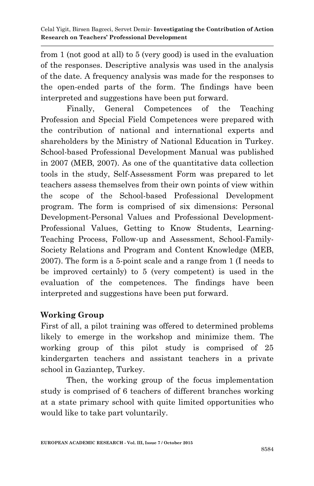from 1 (not good at all) to 5 (very good) is used in the evaluation of the responses. Descriptive analysis was used in the analysis of the date. A frequency analysis was made for the responses to the open-ended parts of the form. The findings have been interpreted and suggestions have been put forward.

Finally, General Competences of the Teaching Profession and Special Field Competences were prepared with the contribution of national and international experts and shareholders by the Ministry of National Education in Turkey. School-based Professional Development Manual was published in 2007 (MEB, 2007). As one of the quantitative data collection tools in the study, Self-Assessment Form was prepared to let teachers assess themselves from their own points of view within the scope of the School-based Professional Development program. The form is comprised of six dimensions: Personal Development-Personal Values and Professional Development-Professional Values, Getting to Know Students, Learning-Teaching Process, Follow-up and Assessment, School-Family-Society Relations and Program and Content Knowledge (MEB, 2007). The form is a 5-point scale and a range from 1 (I needs to be improved certainly) to 5 (very competent) is used in the evaluation of the competences. The findings have been interpreted and suggestions have been put forward.

# **Working Group**

First of all, a pilot training was offered to determined problems likely to emerge in the workshop and minimize them. The working group of this pilot study is comprised of 25 kindergarten teachers and assistant teachers in a private school in Gaziantep, Turkey.

Then, the working group of the focus implementation study is comprised of 6 teachers of different branches working at a state primary school with quite limited opportunities who would like to take part voluntarily.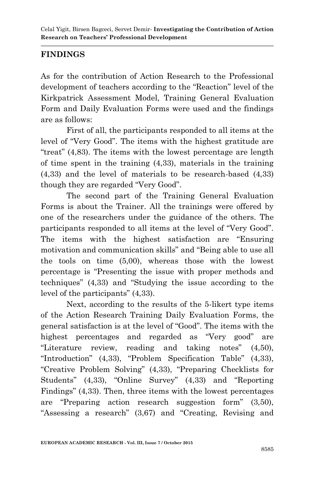# **FINDINGS**

As for the contribution of Action Research to the Professional development of teachers according to the "Reaction" level of the Kirkpatrick Assessment Model, Training General Evaluation Form and Daily Evaluation Forms were used and the findings are as follows:

First of all, the participants responded to all items at the level of "Very Good". The items with the highest gratitude are "treat" (4,83). The items with the lowest percentage are length of time spent in the training (4,33), materials in the training (4,33) and the level of materials to be research-based (4,33) though they are regarded "Very Good".

The second part of the Training General Evaluation Forms is about the Trainer. All the trainings were offered by one of the researchers under the guidance of the others. The participants responded to all items at the level of "Very Good". The items with the highest satisfaction are "Ensuring motivation and communication skills" and "Being able to use all the tools on time (5,00), whereas those with the lowest percentage is "Presenting the issue with proper methods and techniques" (4,33) and "Studying the issue according to the level of the participants" (4,33).

Next, according to the results of the 5-likert type items of the Action Research Training Daily Evaluation Forms, the general satisfaction is at the level of "Good". The items with the highest percentages and regarded as "Very good" are "Literature review, reading and taking notes" (4,50), "Introduction" (4,33), "Problem Specification Table" (4,33), "Creative Problem Solving" (4,33), "Preparing Checklists for Students" (4,33), "Online Survey" (4,33) and "Reporting Findings" (4,33). Then, three items with the lowest percentages are "Preparing action research suggestion form" (3,50), "Assessing a research" (3,67) and "Creating, Revising and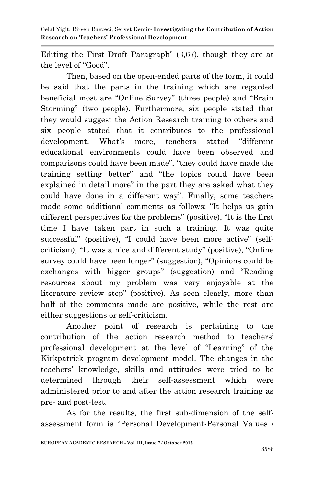Editing the First Draft Paragraph" (3,67), though they are at the level of "Good".

Then, based on the open-ended parts of the form, it could be said that the parts in the training which are regarded beneficial most are "Online Survey" (three people) and "Brain Storming" (two people). Furthermore, six people stated that they would suggest the Action Research training to others and six people stated that it contributes to the professional development. What's more, teachers stated "different educational environments could have been observed and comparisons could have been made", "they could have made the training setting better" and "the topics could have been explained in detail more" in the part they are asked what they could have done in a different way". Finally, some teachers made some additional comments as follows: "It helps us gain different perspectives for the problems" (positive), "It is the first time I have taken part in such a training. It was quite successful" (positive), "I could have been more active" (selfcriticism), "It was a nice and different study" (positive), "Online survey could have been longer" (suggestion), "Opinions could be exchanges with bigger groups" (suggestion) and "Reading resources about my problem was very enjoyable at the literature review step" (positive). As seen clearly, more than half of the comments made are positive, while the rest are either suggestions or self-criticism.

Another point of research is pertaining to the contribution of the action research method to teachers' professional development at the level of "Learning" of the Kirkpatrick program development model. The changes in the teachers' knowledge, skills and attitudes were tried to be determined through their self-assessment which were administered prior to and after the action research training as pre- and post-test.

As for the results, the first sub-dimension of the selfassessment form is "Personal Development-Personal Values /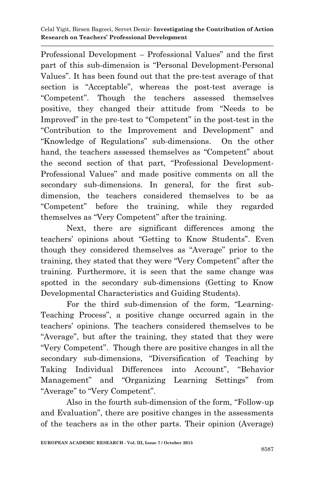Professional Development – Professional Values" and the first part of this sub-dimension is "Personal Development-Personal Values". It has been found out that the pre-test average of that section is "Acceptable", whereas the post-test average is "Competent". Though the teachers assessed themselves positive, they changed their attitude from "Needs to be Improved" in the pre-test to "Competent" in the post-test in the "Contribution to the Improvement and Development" and "Knowledge of Regulations" sub-dimensions. On the other hand, the teachers assessed themselves as "Competent" about the second section of that part, "Professional Development-Professional Values" and made positive comments on all the secondary sub-dimensions. In general, for the first subdimension, the teachers considered themselves to be as "Competent" before the training, while they regarded themselves as "Very Competent" after the training.

Next, there are significant differences among the teachers' opinions about "Getting to Know Students". Even though they considered themselves as "Average" prior to the training, they stated that they were "Very Competent" after the training. Furthermore, it is seen that the same change was spotted in the secondary sub-dimensions (Getting to Know Developmental Characteristics and Guiding Students).

For the third sub-dimension of the form, "Learning-Teaching Process", a positive change occurred again in the teachers' opinions. The teachers considered themselves to be "Average", but after the training, they stated that they were "Very Competent". Though there are positive changes in all the secondary sub-dimensions, "Diversification of Teaching by Taking Individual Differences into Account", "Behavior Management" and "Organizing Learning Settings" from "Average" to "Very Competent".

Also in the fourth sub-dimension of the form, "Follow-up and Evaluation", there are positive changes in the assessments of the teachers as in the other parts. Their opinion (Average)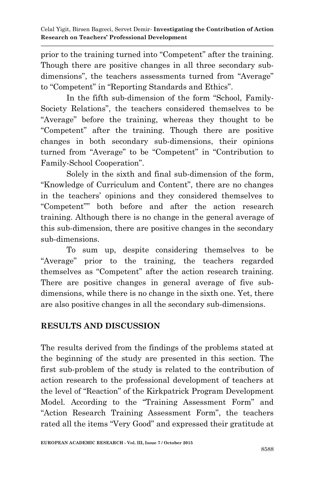prior to the training turned into "Competent" after the training. Though there are positive changes in all three secondary subdimensions", the teachers assessments turned from "Average" to "Competent" in "Reporting Standards and Ethics".

In the fifth sub-dimension of the form "School, Family-Society Relations", the teachers considered themselves to be "Average" before the training, whereas they thought to be "Competent" after the training. Though there are positive changes in both secondary sub-dimensions, their opinions turned from "Average" to be "Competent" in "Contribution to Family-School Cooperation".

Solely in the sixth and final sub-dimension of the form, "Knowledge of Curriculum and Content", there are no changes in the teachers' opinions and they considered themselves to "Competent"" both before and after the action research training. Although there is no change in the general average of this sub-dimension, there are positive changes in the secondary sub-dimensions.

To sum up, despite considering themselves to be "Average" prior to the training, the teachers regarded themselves as "Competent" after the action research training. There are positive changes in general average of five subdimensions, while there is no change in the sixth one. Yet, there are also positive changes in all the secondary sub-dimensions.

# **RESULTS AND DISCUSSION**

The results derived from the findings of the problems stated at the beginning of the study are presented in this section. The first sub-problem of the study is related to the contribution of action research to the professional development of teachers at the level of "Reaction" of the Kirkpatrick Program Development Model. According to the "Training Assessment Form" and "Action Research Training Assessment Form", the teachers rated all the items "Very Good" and expressed their gratitude at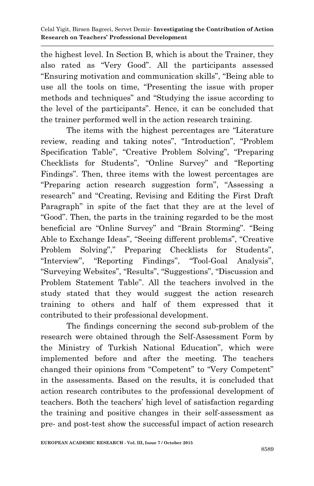the highest level. In Section B, which is about the Trainer, they also rated as "Very Good". All the participants assessed "Ensuring motivation and communication skills", "Being able to use all the tools on time, "Presenting the issue with proper methods and techniques" and "Studying the issue according to the level of the participants". Hence, it can be concluded that the trainer performed well in the action research training.

The items with the highest percentages are "Literature review, reading and taking notes", "Introduction", "Problem Specification Table", "Creative Problem Solving", "Preparing Checklists for Students", "Online Survey" and "Reporting Findings". Then, three items with the lowest percentages are "Preparing action research suggestion form", "Assessing a research" and "Creating, Revising and Editing the First Draft Paragraph" in spite of the fact that they are at the level of "Good". Then, the parts in the training regarded to be the most beneficial are "Online Survey" and "Brain Storming". "Being Able to Exchange Ideas", "Seeing different problems", "Creative Problem Solving"," Preparing Checklists for Students", "Interview", "Reporting Findings", "Tool-Goal Analysis", "Surveying Websites", "Results", "Suggestions", "Discussion and Problem Statement Table". All the teachers involved in the study stated that they would suggest the action research training to others and half of them expressed that it contributed to their professional development.

The findings concerning the second sub-problem of the research were obtained through the Self-Assessment Form by the Ministry of Turkish National Education", which were implemented before and after the meeting. The teachers changed their opinions from "Competent" to "Very Competent" in the assessments. Based on the results, it is concluded that action research contributes to the professional development of teachers. Both the teachers' high level of satisfaction regarding the training and positive changes in their self-assessment as pre- and post-test show the successful impact of action research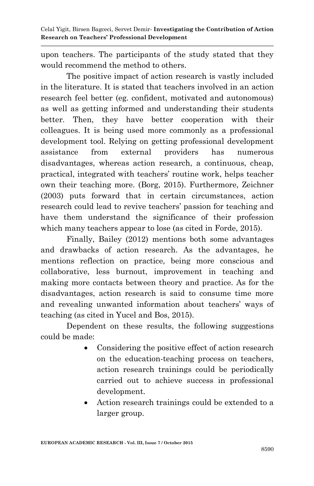upon teachers. The participants of the study stated that they would recommend the method to others.

The positive impact of action research is vastly included in the literature. It is stated that teachers involved in an action research feel better (eg. confident, motivated and autonomous) as well as getting informed and understanding their students better. Then, they have better cooperation with their colleagues. It is being used more commonly as a professional development tool. Relying on getting professional development assistance from external providers has numerous disadvantages, whereas action research, a continuous, cheap, practical, integrated with teachers' routine work, helps teacher own their teaching more. (Borg, 2015). Furthermore, Zeichner (2003) puts forward that in certain circumstances, action research could lead to revive teachers' passion for teaching and have them understand the significance of their profession which many teachers appear to lose (as cited in Forde, 2015).

Finally, Bailey (2012) mentions both some advantages and drawbacks of action research. As the advantages, he mentions reflection on practice, being more conscious and collaborative, less burnout, improvement in teaching and making more contacts between theory and practice. As for the disadvantages, action research is said to consume time more and revealing unwanted information about teachers' ways of teaching (as cited in Yucel and Bos, 2015).

Dependent on these results, the following suggestions could be made:

- Considering the positive effect of action research on the education-teaching process on teachers, action research trainings could be periodically carried out to achieve success in professional development.
- Action research trainings could be extended to a larger group.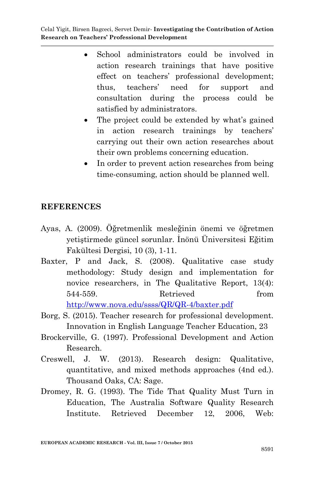- School administrators could be involved in action research trainings that have positive effect on teachers' professional development; thus, teachers' need for support and consultation during the process could be satisfied by administrators.
- The project could be extended by what's gained in action research trainings by teachers' carrying out their own action researches about their own problems concerning education.
- In order to prevent action researches from being time-consuming, action should be planned well.

## **REFERENCES**

- Ayas, A. (2009). Öğretmenlik mesleğinin önemi ve öğretmen yetiştirmede güncel sorunlar. İnönü Üniversitesi Eğitim Fakültesi Dergisi, 10 (3), 1-11.
- Baxter, P and Jack, S. (2008). Qualitative case study methodology: Study design and implementation for novice researchers, in The Qualitative Report, 13(4): 544-559. Retrieved from <http://www.nova.edu/ssss/QR/QR-4/baxter.pdf>
- Borg, S. (2015). Teacher research for professional development. Innovation in English Language Teacher Education, 23
- Brockerville, G. (1997). Professional Development and Action Research.
- Creswell, J. W. (2013). Research design: Qualitative, quantitative, and mixed methods approaches (4nd ed.). Thousand Oaks, CA: Sage.
- Dromey, R. G. (1993). The Tide That Quality Must Turn in Education, The Australia Software Quality Research Institute. Retrieved December 12, 2006, Web: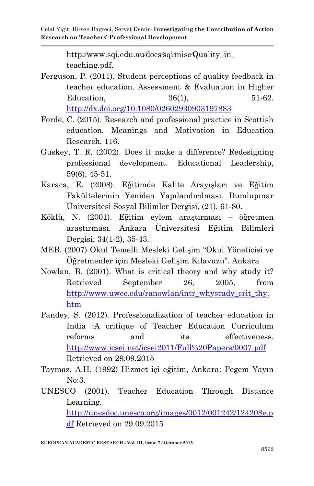http:∕∕www.sqi.edu.au∕docs∕sqi∕misc∕Quality\_in\_ teaching.pdf.

- Ferguson, P. (2011). Student perceptions of quality feedback in teacher education. Assessment & Evaluation in Higher Education, 36(1), 51-62. <http://dx.doi.org/10.1080/02602930903197883>
- Forde, C. (2015). Research and professional practice in Scottish education. Meanings and Motivation in Education Research, 116.
- Guskey, T. R. (2002). Does it make a difference? Redesigning professional development. Educational Leadership, 59(6), 45-51.
- Karaca, E. (2008). Eğitimde Kalite Arayışları ve Eğitim Fakültelerinin Yeniden Yapılandırılması. Dumlupınar Üniversitesi Sosyal Bilimler Dergisi, (21), 61-80.
- Köklü, N. (2001). Eğitim eylem araştırması öğretmen araştırması. Ankara Üniversitesi Eğitim Bilimleri Dergisi, 34(1-2), 35-43.
- MEB. (2007) Okul Temelli Mesleki Gelişim "Okul Yöneticisi ve Öğretmenler için Mesleki Gelişim Kılavuzu". Ankara
- Nowlan, B. (2001). What is critical theory and why study it? Retrieved September 26, 2005, from [http://www.uwec.edu/ranowlan/intr\\_whystudy\\_crit\\_thy.](http://www.uwec.edu/ranowlan/intr_whystudy_crit_thy.htm) [htm](http://www.uwec.edu/ranowlan/intr_whystudy_crit_thy.htm)
- Pandey, S. (2012). Professionalization of teacher education in India :A critique of Teacher Education Curriculum reforms and its effectiveness. <http://www.icsei.net/icsei2011/Full%20Papers/0007.pdf> Retrieved on 29.09.2015
- Taymaz, A.H. (1992) Hizmet içi eğitim, Ankara: Pegem Yayın No:3.
- UNESCO (2001). Teacher Education Through Distance Learning. [http://unesdoc.unesco.org/images/0012/001242/124208e.p](http://unesdoc.unesco.org/images/0012/001242/124208e.pdf) [df](http://unesdoc.unesco.org/images/0012/001242/124208e.pdf) Retrieved on 29.09.2015